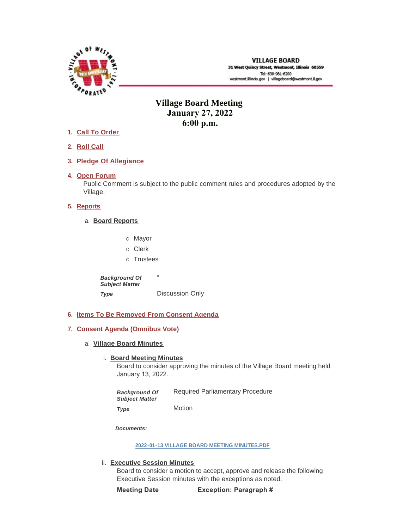

# **Village Board Meeting January 27, 2022 6:00 p.m.**

- **Call To Order 1.**
- **Roll Call 2.**
- **Pledge Of Allegiance 3.**
- 4. Open Forum

Public Comment is subject to the public comment rules and procedures adopted by the Village.

# **5.** Reports

- **Board Reports** a.
	- o Mayor
	- o Clerk
	- o Trustees

\* Discussion Only *Background Of Subject Matter Type* 

**Items To Be Removed From Consent Agenda 6.**

## **Consent Agenda (Omnibus Vote) 7.**

**Village Board Minutes** a.

# **Board Meeting Minutes**

Board to consider approving the minutes of the Village Board meeting held January 13, 2022.

Required Parliamentary Procedure Motion *Background Of Subject Matter Type* 

*Documents:*

**[2022-01-13 VILLAGE BOARD MEETING MINUTES.PDF](https://westmont.illinois.gov/AgendaCenter/ViewFile/Item/8484?fileID=12001)**

# **Executive Session Minutes** ii.

Board to consider a motion to accept, approve and release the following Executive Session minutes with the exceptions as noted:

**Meeting Date Exception: Paragraph #**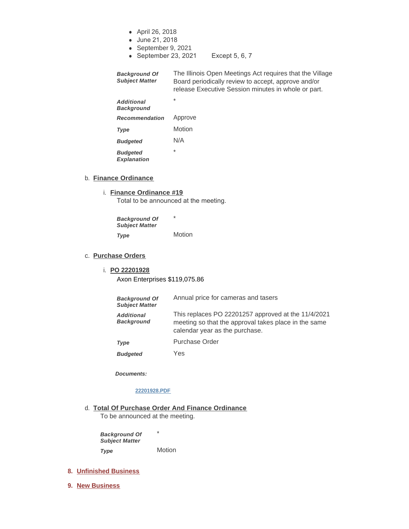- April 26, 2018
- June 21, 2018
- September 9, 2021
- September 23, 2021 Except 5, 6, 7

The Illinois Open Meetings Act requires that the Village Board periodically review to accept, approve and/or release Executive Session minutes in whole or part. *Background Of Subject Matter* 

\* Approve **Motion** N/A \* *Additional Background Recommendation Type Budgeted Budgeted* 

*Explanation* 

### b. **Finance Ordinance**

**Finance Ordinance #19** i.

Total to be announced at the meeting.

\* **Motion** *Background Of Subject Matter Type* 

#### **Purchase Orders** c.

# **PO 22201928** i.

Axon Enterprises \$119,075.86

| <b>Background Of</b><br><b>Subject Matter</b> | Annual price for cameras and tasers                                                                                                           |
|-----------------------------------------------|-----------------------------------------------------------------------------------------------------------------------------------------------|
| <b>Additional</b><br><b>Background</b>        | This replaces PO 22201257 approved at the 11/4/2021<br>meeting so that the approval takes place in the same<br>calendar year as the purchase. |
| Type                                          | <b>Purchase Order</b>                                                                                                                         |

Yes *Budgeted* 

*Documents:*

### **[22201928.PDF](https://westmont.illinois.gov/AgendaCenter/ViewFile/Item/8486?fileID=11997)**

**Total Of Purchase Order And Finance Ordinance** d.

To be announced at the meeting.

\* **Motion** *Background Of Subject Matter Type* 

#### **Unfinished Business 8.**

**New Business 9.**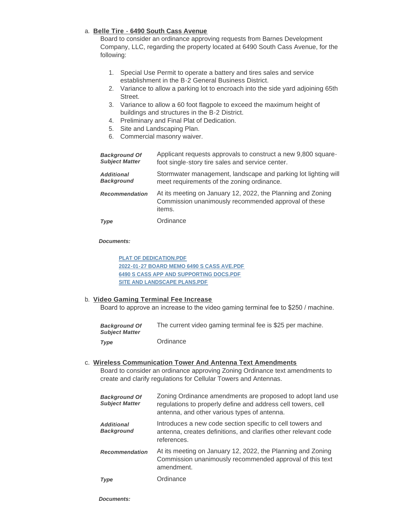# **Belle Tire - 6490 South Cass Avenue** a.

Board to consider an ordinance approving requests from Barnes Development Company, LLC, regarding the property located at 6490 South Cass Avenue, for the following:

- 1. Special Use Permit to operate a battery and tires sales and service establishment in the B-2 General Business District.
- 2. Variance to allow a parking lot to encroach into the side yard adjoining 65th Street.
- 3. Variance to allow a 60 foot flagpole to exceed the maximum height of buildings and structures in the B-2 District.
- 4. Preliminary and Final Plat of Dedication.
- 5. Site and Landscaping Plan.
- 6. Commercial masonry waiver.

| <b>Background Of</b>  | Applicant requests approvals to construct a new 9,800 square-                                                                 |
|-----------------------|-------------------------------------------------------------------------------------------------------------------------------|
| <b>Subject Matter</b> | foot single-story tire sales and service center.                                                                              |
| <b>Additional</b>     | Stormwater management, landscape and parking lot lighting will                                                                |
| <b>Background</b>     | meet requirements of the zoning ordinance.                                                                                    |
| <b>Recommendation</b> | At its meeting on January 12, 2022, the Planning and Zoning<br>Commission unanimously recommended approval of these<br>items. |
| Type                  | Ordinance                                                                                                                     |

## *Documents:*

**[PLAT OF DEDICATION.PDF](https://westmont.illinois.gov/AgendaCenter/ViewFile/Item/8479?fileID=11991) [2022-01-27 BOARD MEMO 6490 S CASS AVE.PDF](https://westmont.illinois.gov/AgendaCenter/ViewFile/Item/8479?fileID=11992) [6490 S CASS APP AND SUPPORTING DOCS.PDF](https://westmont.illinois.gov/AgendaCenter/ViewFile/Item/8479?fileID=11993) [SITE AND LANDSCAPE PLANS.PDF](https://westmont.illinois.gov/AgendaCenter/ViewFile/Item/8479?fileID=11994)**

# **Video Gaming Terminal Fee Increase** b.

Board to approve an increase to the video gaming terminal fee to \$250 / machine.

| <b>Background Of</b><br><b>Subiect Matter</b> | The current video gaming terminal fee is \$25 per machine. |
|-----------------------------------------------|------------------------------------------------------------|
| Type                                          | Ordinance                                                  |

**Wireless Communication Tower And Antenna Text Amendments** c. Board to consider an ordinance approving Zoning Ordinance text amendments to create and clarify regulations for Cellular Towers and Antennas.

| <b>Background Of</b><br><b>Subject Matter</b> | Zoning Ordinance amendments are proposed to adopt land use<br>regulations to properly define and address cell towers, cell<br>antenna, and other various types of antenna. |
|-----------------------------------------------|----------------------------------------------------------------------------------------------------------------------------------------------------------------------------|
| <b>Additional</b><br><b>Background</b>        | Introduces a new code section specific to cell towers and<br>antenna, creates definitions, and clarifies other relevant code<br>references.                                |
| <b>Recommendation</b>                         | At its meeting on January 12, 2022, the Planning and Zoning<br>Commission unanimously recommended approval of this text<br>amendment.                                      |
| Type                                          | Ordinance                                                                                                                                                                  |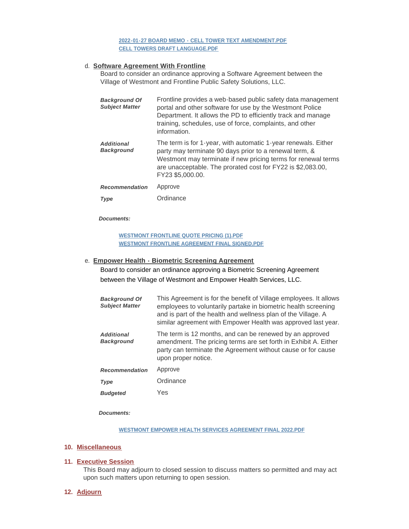## **[2022-01-27 BOARD MEMO - CELL TOWER TEXT AMENDMENT.PDF](https://westmont.illinois.gov/AgendaCenter/ViewFile/Item/8478?fileID=11995) [CELL TOWERS DRAFT LANGUAGE.PDF](https://westmont.illinois.gov/AgendaCenter/ViewFile/Item/8478?fileID=11998)**

## **Software Agreement With Frontline** d.

Board to consider an ordinance approving a Software Agreement between the Village of Westmont and Frontline Public Safety Solutions, LLC.

| <b>Background Of</b><br><b>Subject Matter</b> | Frontline provides a web-based public safety data management<br>portal and other software for use by the Westmont Police<br>Department. It allows the PD to efficiently track and manage<br>training, schedules, use of force, complaints, and other<br>information.         |
|-----------------------------------------------|------------------------------------------------------------------------------------------------------------------------------------------------------------------------------------------------------------------------------------------------------------------------------|
| <b>Additional</b><br><b>Background</b>        | The term is for 1-year, with automatic 1-year renewals. Either<br>party may terminate 90 days prior to a renewal term, &<br>Westmont may terminate if new pricing terms for renewal terms<br>are unacceptable. The prorated cost for FY22 is \$2,083.00,<br>FY23 \$5,000.00. |
| <b>Recommendation</b>                         | Approve                                                                                                                                                                                                                                                                      |
| <b>Type</b>                                   | Ordinance                                                                                                                                                                                                                                                                    |

#### *Documents:*

**[WESTMONT FRONTLINE QUOTE PRICING \(1\).PDF](https://westmont.illinois.gov/AgendaCenter/ViewFile/Item/8487?fileID=11999) [WESTMONT FRONTLINE AGREEMENT FINAL SIGNED.PDF](https://westmont.illinois.gov/AgendaCenter/ViewFile/Item/8487?fileID=12000)**

### **Empower Health - Biometric Screening Agreement** e.

Board to consider an ordinance approving a Biometric Screening Agreement between the Village of Westmont and Empower Health Services, LLC.

| <b>Background Of</b><br><b>Subject Matter</b> | This Agreement is for the benefit of Village employees. It allows<br>employees to voluntarily partake in biometric health screening<br>and is part of the health and wellness plan of the Village. A<br>similar agreement with Empower Health was approved last year. |
|-----------------------------------------------|-----------------------------------------------------------------------------------------------------------------------------------------------------------------------------------------------------------------------------------------------------------------------|
| <b>Additional</b><br><b>Background</b>        | The term is 12 months, and can be renewed by an approved<br>amendment. The pricing terms are set forth in Exhibit A. Either<br>party can terminate the Agreement without cause or for cause<br>upon proper notice.                                                    |
| <b>Recommendation</b>                         | Approve                                                                                                                                                                                                                                                               |
| <b>Type</b>                                   | Ordinance                                                                                                                                                                                                                                                             |
| <b>Budgeted</b>                               | Yes                                                                                                                                                                                                                                                                   |

*Documents:*

## **[WESTMONT EMPOWER HEALTH SERVICES AGREEMENT FINAL 2022.PDF](https://westmont.illinois.gov/AgendaCenter/ViewFile/Item/8485?fileID=11996)**

#### **Miscellaneous 10.**

## **Executive Session 11.**

This Board may adjourn to closed session to discuss matters so permitted and may act upon such matters upon returning to open session.

## **Adjourn 12.**